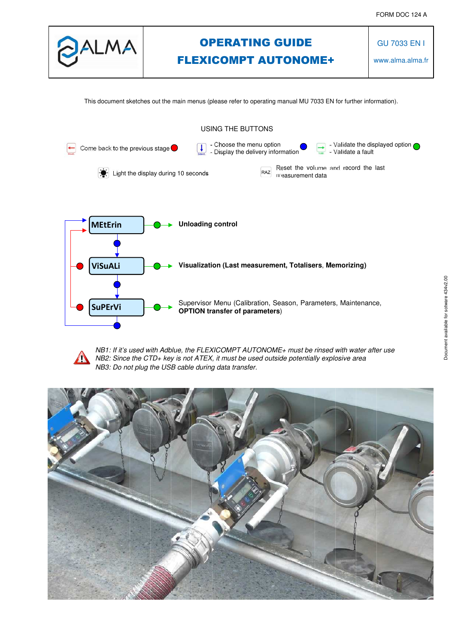

# OPERATING GUIDE FLEXICOMPT AUTONOME+

GU 7033 EN I

www.alma.alma.fr

This document sketches out the main menus (please refer to operating manual MU 7033 EN for further information).





*NB1: If it's used with Adblue, the FLEXICOMPT AUTONOME+ must be rinsed with water after use NB2: Since the CTD+ key is not ATEX, it must be used outside potentially explosive area NB3: Do not plug the USB cable during data transfer.*

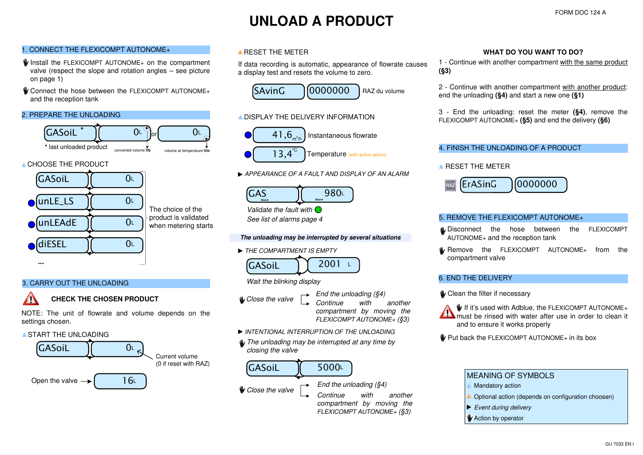# **UNLOAD A PRODUCT**

# 1. CONNECT THE FLEXICOMPT AUTONOME+

- Install the FLEXICOMPT AUTONOME+ on the compartment valve (respect the slope and rotation angles – see picture on page 1)
- U Connect the hose between the FLEXICOMPT AUTONOME+ and the reception tank

## 2. PREPARE THE UNLOADING



# **CHOOSE THE PRODUCT**



# The choice of the product is validated when metering starts

### 3. CARRY OUT THE UNLOADING

# **CHECK THE CHOSEN PRODUCT**

NOTE: The unit of flowrate and volume depends on the settings chosen.

### **A START THE UNI OADING**



# A RESET THE METER

If data recording is automatic, appearance of flowrate causes a display test and resets the volume to zero.



# A DISPLAY THE DELIVERY INFORMATION



*APPEARANCE OF A FAULT AND DISPLAY OF AN ALARM*



*See list of alarms page 4*

#### **The unloading may be interrupted by several situations**

*THE COMPARTMENT IS EMPTY*



### *Wait the blinking display*

*Close the valve*

*End the unloading (§4)*

 $2001$  L

*Continue with another compartment by moving the FLEXICOMPT AUTONOME+ (§3)*

 *compartment by moving the FLEXICOMPT AUTONOME+ (§3)*

- *INTENTIONAL INTERRUPTION OF THE UNLOADING*
- *The unloading may be interrupted at any time by closing the valve*



#### **WHAT DO YOU WANT TO DO?**

1 - Continue with another compartment with the same product **(§3)**

2 - Continue with another compartment with another product: end the unloading **(§4)** and start a new one **(§1)**

3 - End the unloading: reset the meter **(§4)**, remove the FLEXICOMPT AUTONOME+ **(§5)** and end the delivery **(§6)**

#### 4. FINISH THE UNLOADING OF A PRODUCT

**A RESET THE METER** 



#### 5. REMOVE THE FLEXICOMPT AUTONOME+

- U Disconnect the hose between the FLEXICOMPT AUTONOME+ and the reception tank
- FLEXICOMPT AUTONOME+ from the compartment valve

#### 6. END THE DELIVERY

U Clean the filter if necessary

 $\Psi$  If it's used with Adblue, the FLEXICOMPT AUTONOME+ must be rinsed with water after use in order to clean it and to ensure it works properly

**V** Put back the FLEXICOMPT AUTONOME+ in its box



- Mandatory action
- Optional action (depends on configuration choosen)
- *Event during delivery*
- **Action by operator**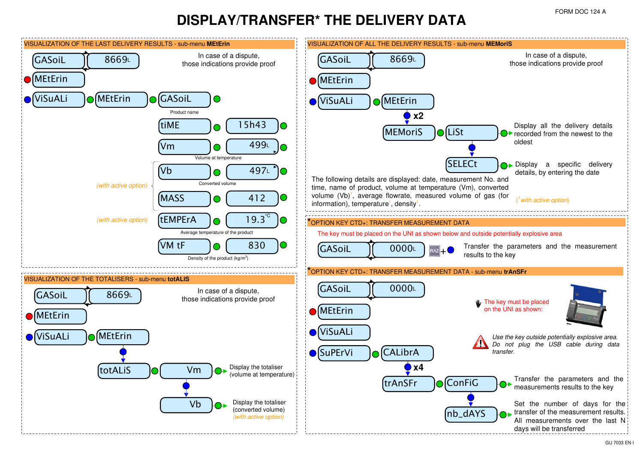# **DISPLAY/TRANSFER\* THE DELIVERY DATA**